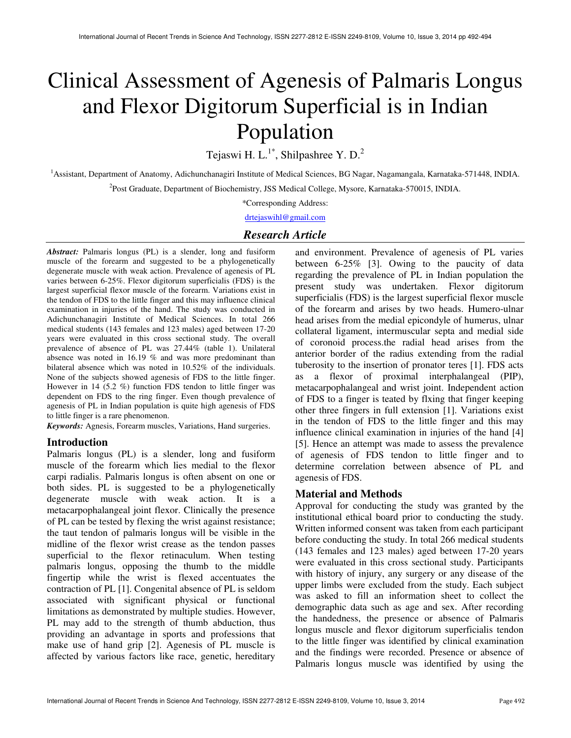# Clinical Assessment of Agenesis of Palmaris Longus and Flexor Digitorum Superficial is in Indian Population

Tejaswi H. L.<sup>1\*</sup>, Shilpashree Y. D.<sup>2</sup>

<sup>1</sup>Assistant, Department of Anatomy, Adichunchanagiri Institute of Medical Sciences, BG Nagar, Nagamangala, Karnataka-571448, INDIA. 2 Post Graduate, Department of Biochemistry, JSS Medical College, Mysore, Karnataka-570015, INDIA.

\*Corresponding Address:

drtejaswihl@gmail.com

# *Research Article*

*Abstract:* Palmaris longus (PL) is a slender, long and fusiform muscle of the forearm and suggested to be a phylogenetically degenerate muscle with weak action. Prevalence of agenesis of PL varies between 6-25%. Flexor digitorum superficialis (FDS) is the largest superficial flexor muscle of the forearm. Variations exist in the tendon of FDS to the little finger and this may influence clinical examination in injuries of the hand. The study was conducted in Adichunchanagiri Institute of Medical Sciences. In total 266 medical students (143 females and 123 males) aged between 17-20 years were evaluated in this cross sectional study. The overall prevalence of absence of PL was 27.44% (table 1). Unilateral absence was noted in 16.19 % and was more predominant than bilateral absence which was noted in 10.52% of the individuals. None of the subjects showed agenesis of FDS to the little finger. However in 14 (5.2 %) function FDS tendon to little finger was dependent on FDS to the ring finger. Even though prevalence of agenesis of PL in Indian population is quite high agenesis of FDS to little finger is a rare phenomenon.

*Keywords:* Agnesis, Forearm muscles, Variations, Hand surgeries.

## **Introduction**

Palmaris longus (PL) is a slender, long and fusiform muscle of the forearm which lies medial to the flexor carpi radialis. Palmaris longus is often absent on one or both sides. PL is suggested to be a phylogenetically degenerate muscle with weak action. It is a metacarpophalangeal joint flexor. Clinically the presence of PL can be tested by flexing the wrist against resistance; the taut tendon of palmaris longus will be visible in the midline of the flexor wrist crease as the tendon passes superficial to the flexor retinaculum. When testing palmaris longus, opposing the thumb to the middle fingertip while the wrist is flexed accentuates the contraction of PL [1]. Congenital absence of PL is seldom associated with significant physical or functional limitations as demonstrated by multiple studies. However, PL may add to the strength of thumb abduction, thus providing an advantage in sports and professions that make use of hand grip [2]. Agenesis of PL muscle is affected by various factors like race, genetic, hereditary

and environment. Prevalence of agenesis of PL varies between 6-25% [3]. Owing to the paucity of data regarding the prevalence of PL in Indian population the present study was undertaken. Flexor digitorum superficialis (FDS) is the largest superficial flexor muscle of the forearm and arises by two heads. Humero-ulnar head arises from the medial epicondyle of humerus, ulnar collateral ligament, intermuscular septa and medial side of coronoid process.the radial head arises from the anterior border of the radius extending from the radial tuberosity to the insertion of pronator teres [1]. FDS acts as a flexor of proximal interphalangeal (PIP), metacarpophalangeal and wrist joint. Independent action of FDS to a finger is teated by flxing that finger keeping other three fingers in full extension [1]. Variations exist in the tendon of FDS to the little finger and this may influence clinical examination in injuries of the hand [4] [5]. Hence an attempt was made to assess the prevalence of agenesis of FDS tendon to little finger and to determine correlation between absence of PL and agenesis of FDS.

# **Material and Methods**

Approval for conducting the study was granted by the institutional ethical board prior to conducting the study. Written informed consent was taken from each participant before conducting the study. In total 266 medical students (143 females and 123 males) aged between 17-20 years were evaluated in this cross sectional study. Participants with history of injury, any surgery or any disease of the upper limbs were excluded from the study. Each subject was asked to fill an information sheet to collect the demographic data such as age and sex. After recording the handedness, the presence or absence of Palmaris longus muscle and flexor digitorum superficialis tendon to the little finger was identified by clinical examination and the findings were recorded. Presence or absence of Palmaris longus muscle was identified by using the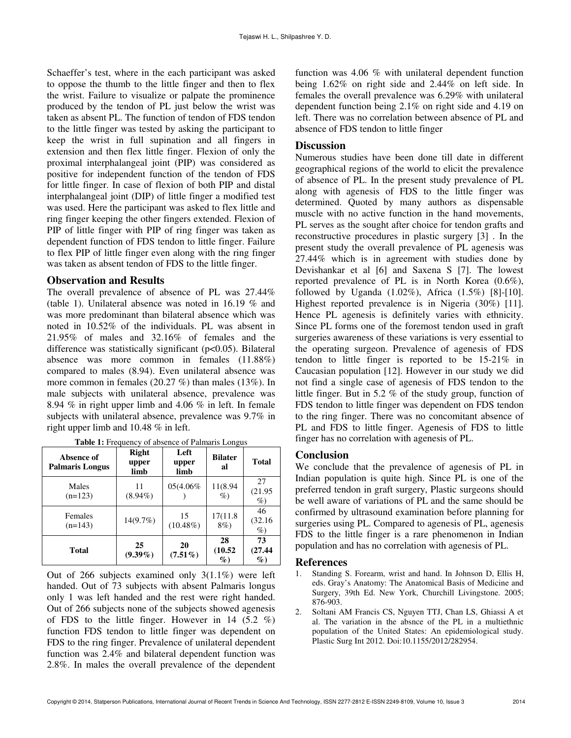Schaeffer's test, where in the each participant was asked to oppose the thumb to the little finger and then to flex the wrist. Failure to visualize or palpate the prominence produced by the tendon of PL just below the wrist was taken as absent PL. The function of tendon of FDS tendon to the little finger was tested by asking the participant to keep the wrist in full supination and all fingers in extension and then flex little finger. Flexion of only the proximal interphalangeal joint (PIP) was considered as positive for independent function of the tendon of FDS for little finger. In case of flexion of both PIP and distal interphalangeal joint (DIP) of little finger a modified test was used. Here the participant was asked to flex little and ring finger keeping the other fingers extended. Flexion of PIP of little finger with PIP of ring finger was taken as dependent function of FDS tendon to little finger. Failure to flex PIP of little finger even along with the ring finger was taken as absent tendon of FDS to the little finger.

#### **Observation and Results**

The overall prevalence of absence of PL was 27.44% (table 1). Unilateral absence was noted in 16.19 % and was more predominant than bilateral absence which was noted in 10.52% of the individuals. PL was absent in 21.95% of males and 32.16% of females and the difference was statistically significant (p<0.05). Bilateral absence was more common in females (11.88%) compared to males (8.94). Even unilateral absence was more common in females (20.27 %) than males (13%). In male subjects with unilateral absence, prevalence was 8.94 % in right upper limb and 4.06 % in left. In female subjects with unilateral absence, prevalence was 9.7% in right upper limb and 10.48 % in left.

| Absence of<br><b>Palmaris Longus</b> | <b>Right</b><br>upper<br>limb | Left<br>upper<br>limb | <b>Bilater</b><br>al  | Total                 |
|--------------------------------------|-------------------------------|-----------------------|-----------------------|-----------------------|
| Males<br>$(n=123)$                   | 11<br>$(8.94\%)$              | 05(4.06%)             | 11(8.94<br>$\%$       | 27<br>(21.95)<br>$\%$ |
| Females<br>$(n=143)$                 | $14(9.7\%)$                   | 15<br>$(10.48\%)$     | 17(11.8)<br>$8\%)$    | 46<br>(32.16)<br>$\%$ |
| Total                                | 25<br>$(9.39\%)$              | 20<br>$(7.51\%)$      | 28<br>(10.52)<br>$\%$ | 73<br>(27.44)<br>$\%$ |

**Table 1:** Frequency of absence of Palmaris Longus

Out of 266 subjects examined only 3(1.1%) were left handed. Out of 73 subjects with absent Palmaris longus only 1 was left handed and the rest were right handed. Out of 266 subjects none of the subjects showed agenesis of FDS to the little finger. However in 14  $(5.2 \%)$ function FDS tendon to little finger was dependent on FDS to the ring finger. Prevalence of unilateral dependent function was 2.4% and bilateral dependent function was 2.8%. In males the overall prevalence of the dependent function was 4.06 % with unilateral dependent function being 1.62% on right side and 2.44% on left side. In females the overall prevalence was 6.29% with unilateral dependent function being 2.1% on right side and 4.19 on left. There was no correlation between absence of PL and absence of FDS tendon to little finger

### **Discussion**

Numerous studies have been done till date in different geographical regions of the world to elicit the prevalence of absence of PL. In the present study prevalence of PL along with agenesis of FDS to the little finger was determined. Quoted by many authors as dispensable muscle with no active function in the hand movements, PL serves as the sought after choice for tendon grafts and reconstructive procedures in plastic surgery [3] . In the present study the overall prevalence of PL agenesis was 27.44% which is in agreement with studies done by Devishankar et al [6] and Saxena S [7]. The lowest reported prevalence of PL is in North Korea (0.6%), followed by Uganda (1.02%), Africa (1.5%) [8]-[10]. Highest reported prevalence is in Nigeria (30%) [11]. Hence PL agenesis is definitely varies with ethnicity. Since PL forms one of the foremost tendon used in graft surgeries awareness of these variations is very essential to the operating surgeon. Prevalence of agenesis of FDS tendon to little finger is reported to be 15-21% in Caucasian population [12]. However in our study we did not find a single case of agenesis of FDS tendon to the little finger. But in 5.2 % of the study group, function of FDS tendon to little finger was dependent on FDS tendon to the ring finger. There was no concomitant absence of PL and FDS to little finger. Agenesis of FDS to little finger has no correlation with agenesis of PL.

#### **Conclusion**

We conclude that the prevalence of agenesis of PL in Indian population is quite high. Since PL is one of the preferred tendon in graft surgery, Plastic surgeons should be well aware of variations of PL and the same should be confirmed by ultrasound examination before planning for surgeries using PL. Compared to agenesis of PL, agenesis FDS to the little finger is a rare phenomenon in Indian population and has no correlation with agenesis of PL.

#### **References**

- 1. Standing S. Forearm, wrist and hand. In Johnson D, Ellis H, eds. Gray's Anatomy: The Anatomical Basis of Medicine and Surgery, 39th Ed. New York, Churchill Livingstone. 2005; 876-903.
- 2. Soltani AM Francis CS, Nguyen TTJ, Chan LS, Ghiassi A et al. The variation in the absnce of the PL in a multiethnic population of the United States: An epidemiological study. Plastic Surg Int 2012. Doi:10.1155/2012/282954.